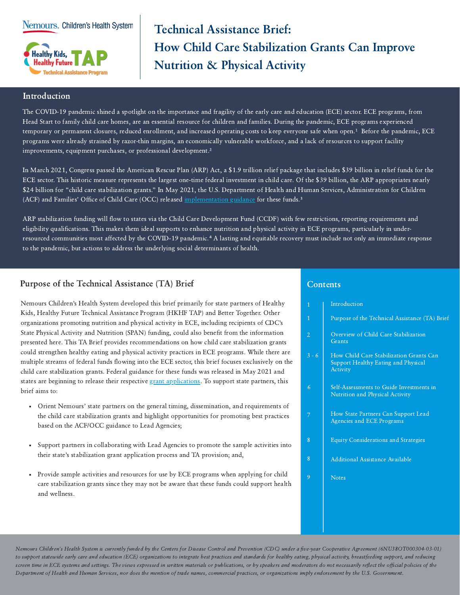Nemours. Children's Health System



# Technical Assistance Brief: How Child Care Stabilization Grants Can Improve Nutrition & Physical Activity

## Introduction

The COVID-19 pandemic shined a spotlight on the importance and fragility of the early care and education (ECE) sector. ECE programs, from Head Start to family child care homes, are an essential resource for children and families. During the pandemic, ECE programs experienced temporary or permanent closures, reduced enrollment, and increased operating costs to keep everyone safe when open.<sup>1</sup> Before the pandemic, ECE programs were already strained by razor-thin margins, an economically vulnerable workforce, and a lack of resources to support facility improvements, equipment purchases, or professional development.<sup>2</sup>

In March 2021, Congress passed the American Rescue Plan (ARP) Act, a \$1.9 trillion relief package that includes \$39 billion in relief funds for the ECE sector. This historic measure represents the largest one-time federal investment in child care. Of the \$39 billion, the ARP appropriates nearly \$24 billion for "child care stabilization grants." In May 2021, the U.S. Department of Health and Human Services, Administration for Children (ACF) and Families' Office of Child Care (OCC) released [implementation](https://www.acf.hhs.gov/sites/default/files/documents/occ/CCDF-ACF-IM-2021-02.pdf) guidance for these funds.<sup>3</sup>

ARP stabilization funding will flow to states via the Child Care Development Fund (CCDF) with few restrictions, reporting requirements and eligibility qualifications. This makes them ideal supports to enhance nutrition and physical activity in ECE programs, particularly in underresourced communities most affected by the COVID-19 pandemic.<sup>4</sup> A lasting and equitable recovery must include not only an immediate response to the pandemic, but actions to address the underlying social determinants of health.

# Purpose of the Technical Assistance (TA) Brief

Nemours Children's Health System developed this brief primarily for state partners of Healthy Kids, Healthy Future Technical Assistance Program (HKHF TAP) and Better Together. Other organizations promoting nutrition and physical activity in ECE, including recipients of CDC's State Physical Activity and Nutrition (SPAN) funding, could also benefit from the information presented here. This TA Brief provides recommendations on how child care stabilization grants could strengthen healthy eating and physical activity practices in ECE programs. While there are multiple streams of federal funds flowing into the ECE sector, this brief focuses exclusively on the child care stabilization grants. Federal guidance for these funds was released in May 2021 and states are beginning to release their respective grant [applications.](https://childcareta.acf.hhs.gov/state-and-territory-child-care-stabilization-grant-applications) To support state partners, this brief aims to:

- Orient Nemours' state partners on the general timing, dissemination, and requirements of the child care stabilization grants and highlight opportunities for promoting best practices based on the ACF/OCC guidance to Lead Agencies;
- Support partners in collaborating with Lead Agencies to promote the sample activities into their state's stabilization grant application process and TA provision; and,
- Provide sample activities and resources for use by ECE programs when applying for child care stabilization grants since they may not be aware that these funds could support health and wellness.

## **Contents**

| $\overline{1}$ | Introduction                                                                               |
|----------------|--------------------------------------------------------------------------------------------|
| 1              | Purpose of the Technical Assistance (TA) Brief                                             |
| $\overline{2}$ | Overview of Child Care Stabilization<br>Grants                                             |
| $3 - 6$        | How Child Care Stabilization Grants Can<br>Support Healthy Eating and Physical<br>Activity |
| 6              | Self-Assessments to Guide Investments in<br><b>Nutrition and Physical Activity</b>         |
| 7              | How State Partners Can Support Lead<br>Agencies and ECE Programs                           |
| 8              | <b>Equity Considerations and Strategies</b>                                                |
| 8              | <b>Additional Assistance Available</b>                                                     |
| 9              | <b>Notes</b>                                                                               |
|                |                                                                                            |
|                |                                                                                            |

Nemours Children's Health System is currently funded by the Centers for Disease Control and Prevention (CDC) under a five-year Cooperative Agreement (6NU38OT000304-03-01) to support statewide early care and education (ECE) organizations to integrate best practices and standards for healthy eating, physical activity, breastfeeding support, and reducing screen time in ECE systems and settings. The views expressed in written materials or publications, or by speakers and moderators do not necessarily reflect the official policies of the Department of Health and Human Services, nor does the mention of trade names, commercial practices, or organizations imply endorsement by the U.S. Government.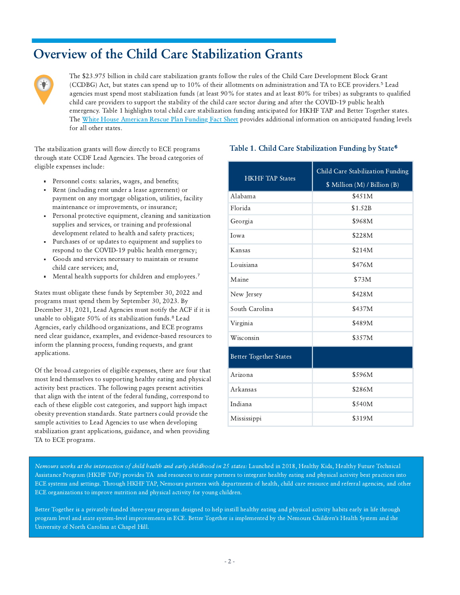# Overview of the Child Care Stabilization Grants



The \$23.975 billion in child care stabilization grants follow the rules of the Child Care Development Block Grant (CCDBG) Act, but states can spend up to 10% of their allotments on administration and TA to ECE providers.⁵ Lead agencies must spend most stabilization funds (at least 90% for states and at least 80% for tribes) as subgrants to qualified child care providers to support the stability of the child care sector during and after the COVID-19 public health emergency. Table 1 highlights total child care stabilization funding anticipated for HKHF TAP and Better Together states. The White House [American](https://www.whitehouse.gov/briefing-room/statements-releases/2021/04/15/fact-sheet-biden-harris-administration-announces-american-rescue-plan-funding-to-rescue-the-child-care-industry-so-the-economy-can-recover/) Rescue Plan Funding Fact Sheet provides additional information on anticipated funding levels for all other states.

through state CCDF Lead Agencies. The broad categories of eligible expenses include:

- Personnel costs: salaries, wages, and benefits;
- Rent (including rent under a lease agreement) or payment on any mortgage obligation, utilities, facility maintenance or improvements, or insurance;
- Personal protective equipment, cleaning and sanitization supplies and services, or training and professional development related to health and safety practices;
- Purchases of or updates to equipment and supplies to respond to the COVID-19 public health emergency;
- Goods and services necessary to maintain or resume child care services; and,
- Mental health supports for children and employees.<sup>7</sup>

States must obligate these funds by September 30, 2022 and programs must spend them by September 30, 2023. By December 31, 2021, Lead Agencies must notify the ACF if it is unable to obligate 50% of its stabilization funds.<sup>8</sup> Lead Agencies, early childhood organizations, and ECE programs need clear guidance, examples, and evidence-based resources to inform the planning process, funding requests, and grant applications.

Of the broad categories of eligible expenses, there are four that most lend themselves to supporting healthy eating and physical activity best practices. The following pages present activities that align with the intent of the federal funding, correspond to each of these eligible cost categories, and support high impact obesity prevention standards. State partners could provide the sample activities to Lead Agencies to use when developing stabilization grant applications, guidance, and when providing TA to ECE programs.

## The stabilization grants will flow directly to ECE programs Table 1. Child Care Stabilization Funding by State<sup>6</sup>

| <b>HKHF TAP States</b>        | Child Care Stabilization Funding<br>\$ Million (M) / Billion (B) |  |
|-------------------------------|------------------------------------------------------------------|--|
| Alabama                       | \$451M                                                           |  |
| Florida                       | \$1.52B                                                          |  |
| Georgia                       | \$968M                                                           |  |
| Iowa                          | \$228M                                                           |  |
| Kansas                        | \$214M                                                           |  |
| Louisiana                     | \$476M                                                           |  |
| Maine                         | \$73M                                                            |  |
| New Jersey                    | \$428M                                                           |  |
| South Carolina                | \$437M                                                           |  |
| Virginia                      | \$489M                                                           |  |
| Wisconsin                     | \$357M                                                           |  |
| <b>Better Together States</b> |                                                                  |  |
| Arizona                       | \$596M                                                           |  |
| Arkansas                      | \$286M                                                           |  |
| Indiana                       | \$540M                                                           |  |
| Mississippi                   | \$319M                                                           |  |

Nemours works at the intersection of child health and early childhood in 25 states: Launched in 2018, Healthy Kids, Healthy Future Technical Assistance Program (HKHF TAP) provides TA and resources to state partners to integrate healthy eating and physical activity best practices into ECE systems and settings. Through HKHF TAP, Nemours partners with departments of health, child care resource and referral agencies, and other ECE organizations to improve nutrition and physical activity for young children.

Better Together is a privately-funded three-year program designed to help instill healthy eating and physical activity habits early in life through program level and state system-level improvements in ECE. Better Together is implemented by the Nemours Children's Health System and the University of North Carolina at Chapel Hill.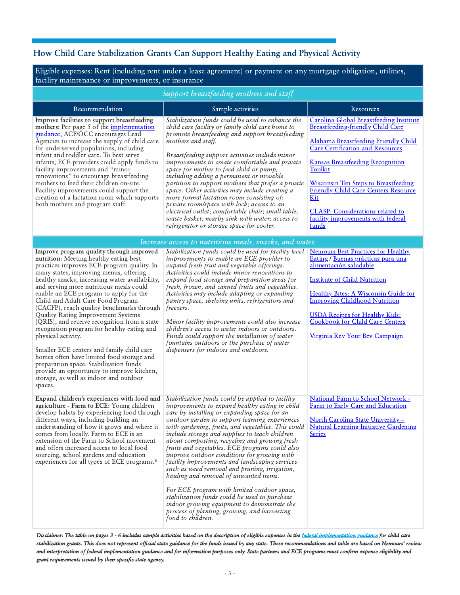# <span id="page-2-0"></span>How Child Care Stabilization Grants Can Support Healthy Eating and Physical Activity

Eligible expenses: Rent (including rent under a lease agreement) or payment on any mortgage obligation, utilities, facility maintenance or improvements, or insurance

| Support breastfeeding mothers and staff                                                                                                                                                                                                                                                                                                                                                                                                                                                                                                                                                                                                                                                                                                                                                              |                                                                                                                                                                                                                                                                                                                                                                                                                                                                                                                                                                                                                                                                                                                                                                                                                                 |                                                                                                                                                                                                                                                                                                                                                                                                                             |  |  |  |
|------------------------------------------------------------------------------------------------------------------------------------------------------------------------------------------------------------------------------------------------------------------------------------------------------------------------------------------------------------------------------------------------------------------------------------------------------------------------------------------------------------------------------------------------------------------------------------------------------------------------------------------------------------------------------------------------------------------------------------------------------------------------------------------------------|---------------------------------------------------------------------------------------------------------------------------------------------------------------------------------------------------------------------------------------------------------------------------------------------------------------------------------------------------------------------------------------------------------------------------------------------------------------------------------------------------------------------------------------------------------------------------------------------------------------------------------------------------------------------------------------------------------------------------------------------------------------------------------------------------------------------------------|-----------------------------------------------------------------------------------------------------------------------------------------------------------------------------------------------------------------------------------------------------------------------------------------------------------------------------------------------------------------------------------------------------------------------------|--|--|--|
| Recommendation                                                                                                                                                                                                                                                                                                                                                                                                                                                                                                                                                                                                                                                                                                                                                                                       | Sample activities                                                                                                                                                                                                                                                                                                                                                                                                                                                                                                                                                                                                                                                                                                                                                                                                               | Resources                                                                                                                                                                                                                                                                                                                                                                                                                   |  |  |  |
| Improve facilities to support breastfeeding<br>mothers: Per page 5 of the implementation<br>guidance, ACF/OCC encourages Lead<br>Agencies to increase the supply of child care<br>for underserved populations, including<br>infant and toddler care. To best serve<br>infants, ECE providers could apply funds to<br>facility improvements and "minor<br>renovations" to encourage breastfeeding<br>mothers to feed their children on-site.<br>Facility improvements could support the<br>creation of a lactation room which supports<br>both mothers and program staff.                                                                                                                                                                                                                             | Stabilization funds could be used to enhance the<br>child care facility or family child care home to<br>promote breastfeeding and support breastfeeding<br>mothers and staff.<br>Breastfeeding support activities include minor<br>improvements to create comfortable and private<br>space for mother to feed child or pump,<br>including adding a permanent or movable<br>partition to support mothers that prefer a private<br>space. Other activities may include creating a<br>more formal lactation room consisting of:<br>private room/space with lock; access to an<br>electrical outlet; comfortable chair; small table;<br>waste basket; nearby sink with water; access to<br>refrigerator or storage space for cooler.                                                                                                | Carolina Global Breastfeeding Institute<br>Breastfeeding-friendly Child Care<br>Alabama Breastfeeding Friendly Child<br><b>Care Certification and Resources</b><br><b>Kansas Breastfeeding Recognition</b><br><b>Toolkit</b><br><b>Wisconsin Ten Steps to Breastfeeding</b><br><b>Friendly Child Care Centers Resource</b><br>Kit<br><b>CLASP:</b> Considerations related to<br>facility improvements with federal<br>funds |  |  |  |
|                                                                                                                                                                                                                                                                                                                                                                                                                                                                                                                                                                                                                                                                                                                                                                                                      | Increase access to nutritious meals, snacks, and water.                                                                                                                                                                                                                                                                                                                                                                                                                                                                                                                                                                                                                                                                                                                                                                         |                                                                                                                                                                                                                                                                                                                                                                                                                             |  |  |  |
| Improve program quality through improved<br>nutrition: Meeting healthy eating best<br>practices improves ECE program quality. In<br>many states, improving menus, offering<br>healthy snacks, increasing water availability,<br>and serving more nutritious meals could<br>enable an ECE program to apply for the<br>Child and Adult Care Food Program<br>(CACFP), reach quality benchmarks through<br>Quality Rating Improvement Systems<br>(QRIS), and receive recognition from a state<br>recognition program for healthy eating and<br>physical activity.<br>Smaller ECE centers and family child care<br>homes often have limited food storage and<br>preparation space. Stabilization funds<br>provide an opportunity to improve kitchen,<br>storage, as well as indoor and outdoor<br>spaces. | Stabilization funds could be used for facility level<br>improvements to enable an ECE provider to<br>expand fresh fruit and vegetable offerings.<br>Activities could include minor renovations to<br>expand food storage and preparation areas for<br>fresh, frozen, and canned fruits and vegetables.<br>Activities may include adapting or expanding<br>pantry space, shelving units, refrigerators and<br>freezers.<br>Minor facility improvements could also increase<br>children's access to water indoors or outdoors.<br>Funds could support the installation of water<br>fountains outdoors or the purchase of water<br>dispensers for indoors and outdoors.                                                                                                                                                            | <b>Nemours Best Practices for Healthy</b><br>Eating / Buenas prácticas para una<br>alimentación saludable<br><b>Institute of Child Nutrition</b><br><b>Healthy Bites: A Wisconsin Guide for</b><br><b>Improving Childhood Nutrition</b><br><b>USDA Recipes for Healthy Kids:</b><br>Cookbook for Child Care Centers<br>Virginia Rev Your Bev Campaign                                                                       |  |  |  |
| Expand children's experiences with food and<br>agriculture - Farm to ECE: Young children<br>develop habits by experiencing food through<br>different ways, including building an<br>understanding of how it grows and where it<br>comes from locally. Farm to ECE is an<br>extension of the Farm to School movement<br>and offers increased access to local food<br>sourcing, school gardens and education<br>experiences for all types of ECE programs. <sup>9</sup>                                                                                                                                                                                                                                                                                                                                | Stabilization funds could be applied to facility<br>improvements to expand healthy eating in child<br>care by installing or expanding space for an<br>outdoor garden to support learning experiences<br>with gardening, fruits, and vegetables. This could<br>include storage and supplies to teach children<br>about composting, recycling and growing fresh<br>fruits and vegetables. ECE programs could also<br>improve outdoor conditions for growing with<br>facility improvements and landscaping services<br>such as weed removal and pruning, irrigation,<br>hauling and removal of unwanted items.<br>For ECE program with limited outdoor space,<br>stabilization funds could be used to purchase<br>indoor growing equipment to demonstrate the<br>process of planting, growing, and harvesting<br>food to children. | National Farm to School Network -<br>Farm to Early Care and Education<br><u> North Carolina State University -</u><br><b>Natural Learning Initiative Gardening</b><br><b>Series</b>                                                                                                                                                                                                                                         |  |  |  |

Disclaimer: The table on pages 3 - 6 includes sample activities based on the description of eligible expenses in the federal [implementation](https://www.acf.hhs.gov/sites/default/files/documents/occ/CCDF-ACF-IM-2021-02.pdf) guidance for child care stabilization grants. This does not represent official state guidance for the funds issued by any state. These recommendations and table are based on Nemours' review and interpretation of federal implementation guidance and for information purposes only. State partners and ECE programs must confirm expense eligibility and grant requirements issued by their specific state agency.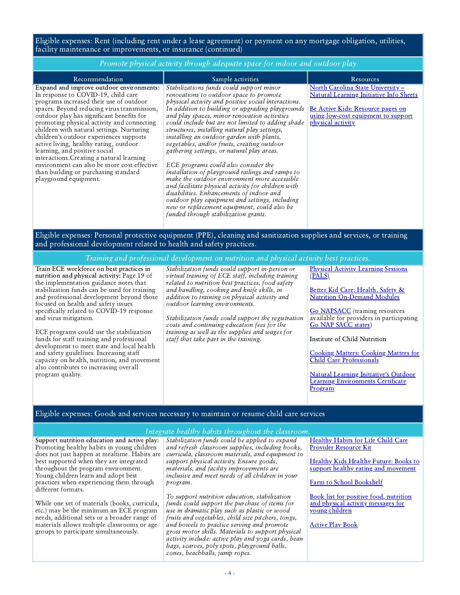Eligible expenses: Rent (including rent under a lease agreement) or payment on any mortgage obligation, utilities, facility maintenance or improvements, or insurance (continued)

| Promote physical activity through adequate space for indoor and outdoor play                                                                                                                                                                                                                                                                                                                                                                                                                                                                                                                                           |                                                                                                                                                                                                                                                                                                                                                                                                                                                                                                                                                                                                                                                                                                                                                                                                                                                                                       |                                                                                                                                                                                                                                                                                                                                                               |  |  |  |  |
|------------------------------------------------------------------------------------------------------------------------------------------------------------------------------------------------------------------------------------------------------------------------------------------------------------------------------------------------------------------------------------------------------------------------------------------------------------------------------------------------------------------------------------------------------------------------------------------------------------------------|---------------------------------------------------------------------------------------------------------------------------------------------------------------------------------------------------------------------------------------------------------------------------------------------------------------------------------------------------------------------------------------------------------------------------------------------------------------------------------------------------------------------------------------------------------------------------------------------------------------------------------------------------------------------------------------------------------------------------------------------------------------------------------------------------------------------------------------------------------------------------------------|---------------------------------------------------------------------------------------------------------------------------------------------------------------------------------------------------------------------------------------------------------------------------------------------------------------------------------------------------------------|--|--|--|--|
| Recommendation                                                                                                                                                                                                                                                                                                                                                                                                                                                                                                                                                                                                         | Sample activities                                                                                                                                                                                                                                                                                                                                                                                                                                                                                                                                                                                                                                                                                                                                                                                                                                                                     | Resources                                                                                                                                                                                                                                                                                                                                                     |  |  |  |  |
| Expand and improve outdoor environments:<br>In response to COVID-19, child care<br>programs increased their use of outdoor<br>spaces. Beyond reducing virus transmission,<br>outdoor play has significant benefits for<br>promoting physical activity and connecting<br>children with natural settings. Nurturing<br>children's outdoor experiences supports<br>active living, healthy eating, outdoor<br>learning, and positive social<br>interactions. Creating a natural learning<br>environment can also be more cost effective<br>than building or purchasing standard<br>playground equipment.                   | Stabilizations funds could support minor<br>renovations to outdoor space to promote<br>physical activity and positive social interactions.<br>In addition to building or upgrading playgrounds<br>and play spaces, minor renovation activities<br>could include but are not limited to adding shade<br>structures, installing natural play settings,<br>installing an outdoor garden with plants,<br>vegetables, and/or fruits, creating outdoor<br>gathering settings, or natural play areas.<br>ECE programs could also consider the<br>installation of playground railings and ramps to<br>make the outdoor environment more accessible<br>and facilitate physical activity for children with<br>disabilities. Enhancements of indoor and<br>outdoor play equipment and settings, including<br>new or replacement equipment, could also be<br>funded through stabilization grants. | North Carolina State University -<br><b>Natural Learning Initiative Info Sheets</b><br>Be Active Kids: Resource pages on<br>using low-cost equipment to support<br>physical activity                                                                                                                                                                          |  |  |  |  |
| Eligible expenses: Personal protective equipment (PPE), cleaning and sanitization supplies and services, or training<br>and professional development related to health and safety practices.                                                                                                                                                                                                                                                                                                                                                                                                                           |                                                                                                                                                                                                                                                                                                                                                                                                                                                                                                                                                                                                                                                                                                                                                                                                                                                                                       |                                                                                                                                                                                                                                                                                                                                                               |  |  |  |  |
|                                                                                                                                                                                                                                                                                                                                                                                                                                                                                                                                                                                                                        | Training and professional development on nutrition and physical activity best practices.                                                                                                                                                                                                                                                                                                                                                                                                                                                                                                                                                                                                                                                                                                                                                                                              |                                                                                                                                                                                                                                                                                                                                                               |  |  |  |  |
| Train ECE workforce on best practices in<br>nutrition and physical activity: Page 19 of<br>the implementation guidance notes that<br>stabilization funds can be used for training<br>and professional development beyond those<br>focused on health and safety issues<br>specifically related to COVID-19 response<br>and virus mitigation.<br>ECE programs could use the stabilization<br>funds for staff training and professional<br>development to meet state and local health<br>and safety guidelines. Increasing staff<br>capacity on health, nutrition, and movement<br>also contributes to increasing overall | Stabilization funds could support in-person or<br>virtual training of ECE staff, including training<br>related to nutrition best practices, food safety<br>and handling, cooking and knife skills, in<br>addition to training on physical activity and<br>outdoor learning environments.<br>Stabilization funds could support the registration<br>costs and continuing education fees for the<br>training as well as the supplies and wages for<br>staff that take part in the training.                                                                                                                                                                                                                                                                                                                                                                                              | <b>Physical Activity Learning Sessions</b><br>(PALS)<br>Better Kid Care: Health, Safety &<br><b>Nutrition On-Demand Modules</b><br><b>Go NAPSACC</b> (training resources<br>available for providers in participating<br><b>Go NAP SACC states)</b><br>Institute of Child Nutrition<br><b>Cooking Matters: Cooking Matters for</b><br>Child Care Professionals |  |  |  |  |

Natural Learning Initiative's Outdoor Learning [Environments](https://naturalearning.org/professional-development/) Certificate Program

### Eligible expenses: Goods and services necessary to maintain or resume child care services

#### Integrate healthy habits throughout the classroom.

Support nutrition education and active play: Promoting healthy habits in young children does not just happen at mealtime. Habits are best supported when they are integrated throughout the program environment. Young children learn and adopt best practices when experiencing them through different formats.

program quality.

While one set of materials (books, curricula, etc.) may be the minimum an ECE program needs, additional sets or a broader range of materials allows multiple classrooms or age groups to participate simultaneously.

Stabilization funds could be applied to expand and refresh classroom supplies, including books, curricula, classroom materials, and equipment to support physical activity. Ensure goods, materials, and facility improvements are inclusive and meet needs of all children in your program.

To support nutrition education, stabilization funds could support the purchase of items for use in dramatic play such as plastic or wood fruits and vegetables, child size pitchers, tongs, and bowels to practice serving and promote gross motor skills. Materials to support physical activity include: active play and yoga cards, bean bags, scarves, poly spots, playground balls, cones, beachballs, jump ropes.

Healthy Habits for Life Child Care Provider [Resource](https://classroom.kidshealth.org/index.jsp?Grade=cc&Section=hhfl) Kit

Healthy Kids Healthy Future: Books to support healthy eating and [movement](https://healthykidshealthyfuture.org/5-healthy-goals/classroom-activities/recommended-books/)

Farm to School [Bookshelf](https://growing-minds.org/childrens-literature/)

Book list for positive food, nutrition and physical activity [messages](https://www.nal.usda.gov/sites/default/files/fnic_uploads//fun_elementary.pdf) for young children

[Active](http://activeplaybooks.com/book-and-dvd-set/) Play Book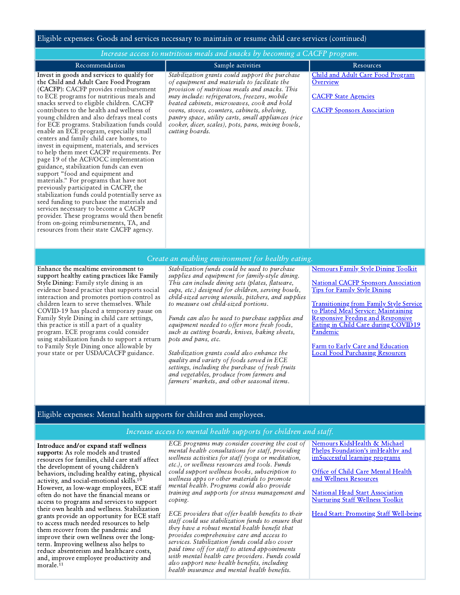#### Eligible expenses: Goods and services necessary to maintain or resume child care services (continued)

| Increase access to nutritious meals and snacks by becoming a CACFP program.                                                                                                                                                                                                                                                                                                                                                                                                                                                                                                                                                                                                                                                                                                                                                                                                                                                                                                                                                              |                                                                                                                                                                                                                                                                                                                                                                                                                                                                                                                                                                                                                                                                                                                                 |                                                                                                                                                                                                                                                                                                                                                                                                       |  |  |
|------------------------------------------------------------------------------------------------------------------------------------------------------------------------------------------------------------------------------------------------------------------------------------------------------------------------------------------------------------------------------------------------------------------------------------------------------------------------------------------------------------------------------------------------------------------------------------------------------------------------------------------------------------------------------------------------------------------------------------------------------------------------------------------------------------------------------------------------------------------------------------------------------------------------------------------------------------------------------------------------------------------------------------------|---------------------------------------------------------------------------------------------------------------------------------------------------------------------------------------------------------------------------------------------------------------------------------------------------------------------------------------------------------------------------------------------------------------------------------------------------------------------------------------------------------------------------------------------------------------------------------------------------------------------------------------------------------------------------------------------------------------------------------|-------------------------------------------------------------------------------------------------------------------------------------------------------------------------------------------------------------------------------------------------------------------------------------------------------------------------------------------------------------------------------------------------------|--|--|
| Recommendation                                                                                                                                                                                                                                                                                                                                                                                                                                                                                                                                                                                                                                                                                                                                                                                                                                                                                                                                                                                                                           | Sample activities                                                                                                                                                                                                                                                                                                                                                                                                                                                                                                                                                                                                                                                                                                               | Resources                                                                                                                                                                                                                                                                                                                                                                                             |  |  |
| Invest in goods and services to qualify for<br>the Child and Adult Care Food Program<br>(CACFP): CACFP provides reimbursement<br>to ECE programs for nutritious meals and<br>snacks served to eligible children. CACFP<br>contributes to the health and wellness of<br>young children and also defrays meal costs<br>for ECE programs. Stabilization funds could<br>enable an ECE program, especially small<br>centers and family child care homes, to<br>invest in equipment, materials, and services<br>to help them meet CACFP requirements. Per<br>page 19 of the ACF/OCC implementation<br>guidance, stabilization funds can even<br>support "food and equipment and<br>materials." For programs that have not<br>previously participated in CACFP, the<br>stabilization funds could potentially serve as<br>seed funding to purchase the materials and<br>services necessary to become a CACFP<br>provider. These programs would then benefit<br>from on-going reimbursements, TA, and<br>resources from their state CACFP agency. | Stabilization grants could support the purchase<br>of equipment and materials to facilitate the<br>provision of nutritious meals and snacks. This<br>may include: refrigerators, freezers, mobile<br>heated cabinets, microwaves, cook and hold<br>ovens, stoves, counters, cabinets, shelving,<br>pantry space, utility carts, small appliances (rice<br>cooker, dicer, scales), pots, pans, mixing bowls,<br>cutting boards.                                                                                                                                                                                                                                                                                                  | Child and Adult Care Food Program<br>Overview<br><b>CACFP</b> State Agencies<br><b>CACFP</b> Sponsors Association                                                                                                                                                                                                                                                                                     |  |  |
|                                                                                                                                                                                                                                                                                                                                                                                                                                                                                                                                                                                                                                                                                                                                                                                                                                                                                                                                                                                                                                          | Create an enabling environment for healthy eating.                                                                                                                                                                                                                                                                                                                                                                                                                                                                                                                                                                                                                                                                              |                                                                                                                                                                                                                                                                                                                                                                                                       |  |  |
| Enhance the mealtime environment to<br>support healthy eating practices like Family<br>Style Dining: Family style dining is an<br>evidence based practice that supports social<br>interaction and promotes portion control as<br>children learn to serve themselves. While<br>COVID-19 has placed a temporary pause on<br>Family Style Dining in child care settings,<br>this practice is still a part of a quality<br>program. ECE programs could consider<br>using stabilization funds to support a return<br>to Family Style Dining once allowable by<br>your state or per USDA/CACFP guidance.                                                                                                                                                                                                                                                                                                                                                                                                                                       | Stabilization funds could be used to purchase<br>supplies and equipment for family-style dining.<br>This can include dining sets (plates, flatware,<br>cups, etc.) designed for children, serving bowls,<br>child-sized serving utensils, pitchers, and supplies<br>to measure out child-sized portions.<br>Funds can also be used to purchase supplies and<br>equipment needed to offer more fresh foods,<br>such as cutting boards, knives, baking sheets,<br>pots and pans, etc.<br>Stabilization grants could also enhance the<br>quality and variety of foods served in ECE<br>settings, including the purchase of fresh fruits<br>and vegetables, produce from farmers and<br>farmers' markets, and other seasonal items. | <b>Nemours Family Style Dining Toolkit</b><br><b>National CACFP Sponsors Association</b><br><b>Tips for Family Style Dining</b><br><b>Transitioning from Family Style Service</b><br>to Plated Meal Service: Maintaining<br><b>Responsive Feeding and Responsive</b><br>Eating in Child Care during COVID19<br>Pandemic<br>Farm to Early Care and Education<br><b>Local Food Purchasing Resources</b> |  |  |

## Eligible expenses: Mental health supports for children and employees.

#### Increase access to mental health supports for children and staff.

Introduce and/or expand staff wellness supports: As role models and trusted resources for families, child care staff affect the development of young children's behaviors, including healthy eating, physical activity, and social-emotional skills.<sup>10</sup> However, as low-wage employees, ECE staff often do not have the financial means or access to programs and services to support their own health and wellness. Stabilization grants provide an opportunity for ECE staff to access much needed resources to help them recover from the pandemic and improve their own wellness over the longterm. Improving wellness also helps to reduce absenteeism and healthcare costs, and, improve employee productivity and morale.<sup>11</sup>

ECE programs may consider covering the cost of mental health consultations for staff, providing wellness activities for staff (yoga or meditation, etc.), or wellness resources and tools. Funds could support wellness books, subscription to wellness apps or other materials to promote mental health. Programs could also provide training and supports for stress management and coping.

- 5- health insurance and mental health benefits. ECE providers that offer health benefits to their staff could use stabilization funds to ensure that they have a robust mental health benefit that provides comprehensive care and access to services. Stabilization funds could also cover paid time off for staff to attend appointments with mental health care providers. Funds could also support new health benefits, including

Nemours KidsHealth & Michael Phelps [Foundation's](https://classroom.kidshealth.org/index.jsp?Grade=cc&Section=ihmp) imHealthy and imSuccessful learning programs

Office of Child Care Mental Health and Wellness [Resources](https://www.acf.hhs.gov/occ/toolkit/mental-health-and-wellness-resources)

National Head Start Association [Nurturing](https://www.nhsa.org/wp-content/uploads/2020/10/qi_toolkit_nurturing_staff_wellness.pdf) Staff Wellness Toolkit

Head Start: Promoting Staff [Well-being](https://eclkc.ohs.acf.hhs.gov/mental-health/article/promoting-staff-well-being)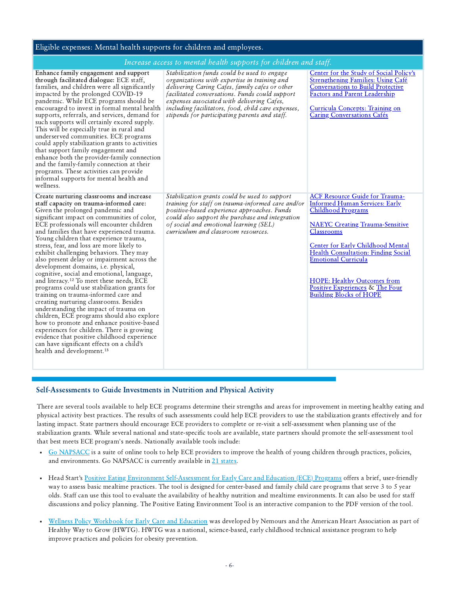## <span id="page-5-0"></span>Eligible expenses: Mental health supports for children and employees.

### Increase access to mental health supports for children and staff.

|                                                                                                                                                                                                                                                                                                                                                                                                                                                                                                                                                                                                                                                                                                                                                                                                                                                                                                                                                                                                                                                         | mercuse access to mental meaning supports for chauren and surff.                                                                                                                                                                                                                                                                                     |                                                                                                                                                                                                                                                                                                                                                                                                 |
|---------------------------------------------------------------------------------------------------------------------------------------------------------------------------------------------------------------------------------------------------------------------------------------------------------------------------------------------------------------------------------------------------------------------------------------------------------------------------------------------------------------------------------------------------------------------------------------------------------------------------------------------------------------------------------------------------------------------------------------------------------------------------------------------------------------------------------------------------------------------------------------------------------------------------------------------------------------------------------------------------------------------------------------------------------|------------------------------------------------------------------------------------------------------------------------------------------------------------------------------------------------------------------------------------------------------------------------------------------------------------------------------------------------------|-------------------------------------------------------------------------------------------------------------------------------------------------------------------------------------------------------------------------------------------------------------------------------------------------------------------------------------------------------------------------------------------------|
| Enhance family engagement and support<br>through facilitated dialogue: ECE staff,<br>families, and children were all significantly<br>impacted by the prolonged COVID-19<br>pandemic. While ECE programs should be<br>encouraged to invest in formal mental health<br>supports, referrals, and services, demand for<br>such supports will certainly exceed supply.<br>This will be especially true in rural and<br>underserved communities. ECE programs<br>could apply stabilization grants to activities<br>that support family engagement and<br>enhance both the provider-family connection<br>and the family-family connection at their<br>programs. These activities can provide<br>informal supports for mental health and<br>wellness.                                                                                                                                                                                                                                                                                                          | Stabilization funds could be used to engage<br>organizations with expertise in training and<br>delivering Caring Cafes, family cafes or other<br>facilitated conversations. Funds could support<br>expenses associated with delivering Cafes,<br>including facilitators, food, child care expenses,<br>stipends for participating parents and staff. | Center for the Study of Social Policy's<br><b>Strengthening Families: Using Café</b><br><b>Conversations to Build Protective</b><br><b>Factors and Parent Leadership</b><br>Curricula Concepts: Training on<br><b>Caring Conversations Cafés</b>                                                                                                                                                |
| Create nurturing classrooms and increase<br>staff capacity on trauma-informed care:<br>Given the prolonged pandemic and<br>significant impact on communities of color,<br>ECE professionals will encounter children<br>and families that have experienced trauma.<br>Young children that experience trauma,<br>stress, fear, and loss are more likely to<br>exhibit challenging behaviors. They may<br>also present delay or impairment across the<br>development domains, i.e. physical,<br>cognitive, social and emotional, language,<br>and literacy. <sup>12</sup> To meet these needs, ECE<br>programs could use stabilization grants for<br>training on trauma-informed care and<br>creating nurturing classrooms. Besides<br>understanding the impact of trauma on<br>children, ECE programs should also explore<br>how to promote and enhance positive-based<br>experiences for children. There is growing<br>evidence that positive childhood experience<br>can have significant effects on a child's<br>health and development. <sup>13</sup> | Stabilization grants could be used to support<br>training for staff on trauma-informed care and/or<br>positive-based experience approaches. Funds<br>could also support the purchase and integration<br>of social and emotional learning (SEL)<br>curriculum and classroom resources.                                                                | <b>ACF Resource Guide for Trauma-</b><br><b>Informed Human Services: Early</b><br><b>Childhood Programs</b><br><b>NAEYC Creating Trauma-Sensitive</b><br>Classrooms<br><b>Center for Early Childhood Mental</b><br>Health Consultation: Finding Social<br><b>Emotional Curricula</b><br><b>HOPE: Healthy Outcomes from</b><br>Positive Experiences & The Four<br><b>Building Blocks of HOPE</b> |

#### Self-Assessments to Guide Investments in Nutrition and Physical Activity

There are several tools available to help ECE programs determine their strengths and areas for improvement in meeting healthy eating and physical activity best practices. The results of such assessments could help ECE providers to use the stabilization grants effectively and for lasting impact. State partners should encourage ECE providers to complete or re-visit a self-assessment when planning use of the stabilization grants. While several national and state-specific tools are available, state partners should promote the self-assessment tool that best meets ECE program's needs. Nationally available tools include:

- Go [NAPSACC](https://gonapsacc.org/) is a suite of online tools to help ECE providers to improve the health of young children through practices, policies, and environments. Go NAPSACC is currently available in 21 [states.](https://gonapsacc.org/participating-states)
- Head Start's Positive Eating Environment [Self-Assessment](https://eclkc.ohs.acf.hhs.gov/nutrition/learning-module/positive-eating-environment-tool) for Early Care and Education (ECE) Programs offers a brief, user-friendly way to assess basic mealtime practices. The tool is designed for center-based and family child care programs that serve 3 to 5 year olds. Staff can use this tool to evaluate the availability of healthy nutrition and mealtime environments. It can also be used for staff discussions and policy planning. The Positive Eating Environment Tool is an interactive companion to the PDF version of the tool.
- Wellness Policy [Workbook](https://workbook.healthywaytogrow.org/) for Early Care and Education was developed by Nemours and the American Heart Association as part of Healthy Way to Grow (HWTG). HWTG was a national, science-based, early childhood technical assistance program to help improve practices and policies for obesity prevention.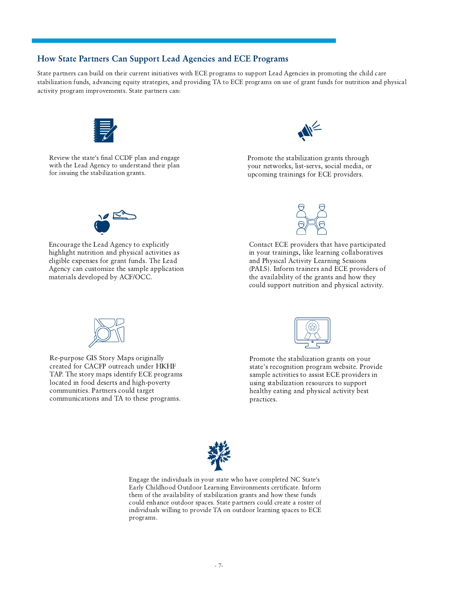## <span id="page-6-0"></span>How State Partners Can Support Lead Agencies and ECE Programs

State partners can build on their current initiatives with ECE programs to support Lead Agencies in promoting the child care stabilization funds, advancing equity strategies, and providing TA to ECE programs on use of grant funds for nutrition and physical activity program improvements. State partners can:



Review the state's final CCDF plan and engage with the Lead Agency to understand their plan for issuing the stabilization grants.



Promote the stabilization grants through your networks, list-servs, social media, or upcoming trainings for ECE providers.



Encourage the Lead Agency to explicitly highlight nutrition and physical activities as eligible expenses for grant funds. The Lead Agency can customize the sample application materials developed by ACF/OCC.



Contact ECE providers that have participated in your trainings, like learning collaboratives and Physical Activity Learning Sessions (PALS). Inform trainers and ECE providers of the availability of the grants and how they could support nutrition and physical activity.



Re-purpose GIS Story Maps originally created for CACFP outreach under HKHF TAP. The story maps identify ECE programs located in food deserts and high-poverty communities. Partners could target communications and TA to these programs.



Promote the stabilization grants on your state's recognition program website. Provide sample activities to assist ECE providers in using stabilization resources to support healthy eating and physical activity best practices.



Engage the individuals in your state who have completed NC State's Early Childhood Outdoor Learning Environments certificate. Inform them of the availability of stabilization grants and how these funds could enhance outdoor spaces. State partners could create a roster of individuals willing to provide TA on outdoor learning spaces to ECE programs.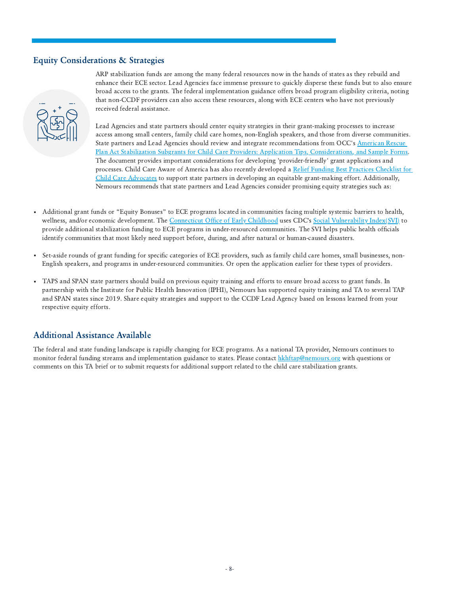## <span id="page-7-0"></span>Equity Considerations & Strategies



ARP stabilization funds are among the many federal resources now in the hands of states as they rebuild and enhance their ECE sector. Lead Agencies face immense pressure to quickly disperse these funds but to also ensure broad access to the grants. The federal implementation guidance offers broad program eligibility criteria, noting that non-CCDF providers can also access these resources, along with ECE centers who have not previously received federal assistance.

Lead Agencies and state partners should center equity strategies in their grant-making processes to increase access among small centers, family child care homes, non-English speakers, and those from diverse communities. State partners and Lead Agencies should review and integrate recommendations from OCC's American Rescue Plan Act Stabilization Subgrants for Child Care Providers: Application Tips, [Considerations,](https://childcareta.acf.hhs.gov/sites/default/files/public/subgrant_application_tips_and_considerations.pdf) and Sample Forms. The document provides important considerations for developing 'provider-friendly' grant applications and processes. Child Care Aware of America has also recently developed a Relief Funding Best Practices Checklist for Child Care Advocates to support state partners in developing an equitable [grant-making](https://www.childcareaware.org/wp-content/uploads/2021/06/funding-checklist.pdf) effort. Additionally, Nemours recommends that state partners and Lead Agencies consider promising equity strategies such as:

- Additional grant funds or "Equity Bonuses" to ECE programs located in communities facing multiple systemic barriers to health, wellness, and/or economic development. The [Connecticut](https://www.ctoec.org/covid-19/ready-set-rebuild/stabilization-funding/) Office of Early Childhood uses CDC's Social [Vulnerability](https://www.atsdr.cdc.gov/placeandhealth/svi/index.html) Index(SVI) to provide additional stabilization funding to ECE programs in under-resourced communities. The SVI helps public health officials identify communities that most likely need support before, during, and after natural or human-caused disasters.
- ä, Set-aside rounds of grant funding for specific categories of ECE providers, such as family child care homes, small businesses, non-English speakers, and programs in under-resourced communities. Or open the application earlier for these types of providers.
- TAPS and SPAN state partners should build on previous equity training and efforts to ensure broad access to grant funds. In partnership with the Institute for Public Health Innovation (IPHI), Nemours has supported equity training and TA to several TAP and SPAN states since 2019. Share equity strategies and support to the CCDF Lead Agency based on lessons learned from your respective equity efforts.

# Additional Assistance Available

The federal and state funding landscape is rapidly changing for ECE programs. As a national TA provider, Nemours continues to monitor federal funding streams and implementation guidance to states. Please contact [hkhftap@nemours.org](mailto:hkhftap@nemours.org) with questions or comments on this TA brief or to submit requests for additional support related to the child care stabilization grants.